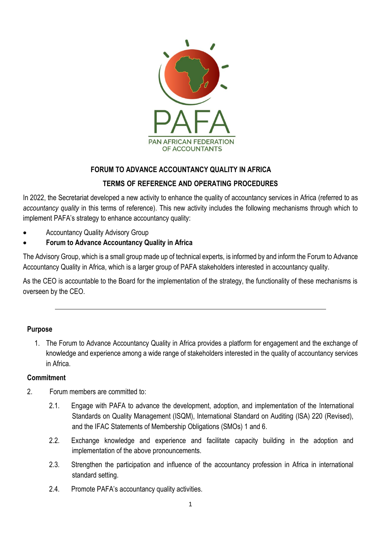

# **FORUM TO ADVANCE ACCOUNTANCY QUALITY IN AFRICA**

# **TERMS OF REFERENCE AND OPERATING PROCEDURES**

In 2022, the Secretariat developed a new activity to enhance the quality of accountancy services in Africa (referred to as *accountancy quality* in this terms of reference). This new activity includes the following mechanisms through which to implement PAFA's strategy to enhance accountancy quality:

- Accountancy Quality Advisory Group
- **Forum to Advance Accountancy Quality in Africa**

The Advisory Group, which is a small group made up of technical experts, is informed by and inform the Forum to Advance Accountancy Quality in Africa, which is a larger group of PAFA stakeholders interested in accountancy quality.

As the CEO is accountable to the Board for the implementation of the strategy, the functionality of these mechanisms is overseen by the CEO.

#### **Purpose**

1. The Forum to Advance Accountancy Quality in Africa provides a platform for engagement and the exchange of knowledge and experience among a wide range of stakeholders interested in the quality of accountancy services in Africa.

#### **Commitment**

- 2. Forum members are committed to:
	- 2.1. Engage with PAFA to advance the development, adoption, and implementation of the International Standards on Quality Management (ISQM), International Standard on Auditing (ISA) 220 (Revised), and the IFAC Statements of Membership Obligations (SMOs) 1 and 6.
	- 2.2. Exchange knowledge and experience and facilitate capacity building in the adoption and implementation of the above pronouncements.
	- 2.3. Strengthen the participation and influence of the accountancy profession in Africa in international standard setting.
	- 2.4. Promote PAFA's accountancy quality activities.